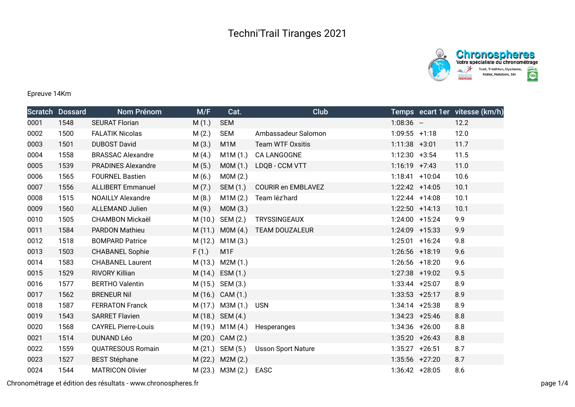



## Epreuve 14Km

|      | <b>Scratch Dossard</b> | Nom Prénom                 | M/F     | Cat.                | <b>Club</b>               |                   | Temps ecart 1er vitesse (km/h) |
|------|------------------------|----------------------------|---------|---------------------|---------------------------|-------------------|--------------------------------|
| 0001 | 1548                   | <b>SEURAT Florian</b>      | M(1.)   | <b>SEM</b>          |                           | $1:08:36 -$       | 12.2                           |
| 0002 | 1500                   | <b>FALATIK Nicolas</b>     | M(2.)   | <b>SEM</b>          | Ambassadeur Salomon       | $1:09:55$ +1:18   | 12.0                           |
| 0003 | 1501                   | <b>DUBOST David</b>        | M(3.)   | M <sub>1</sub> M    | <b>Team WTF Oxsitis</b>   | $1:11:38$ +3:01   | 11.7                           |
| 0004 | 1558                   | <b>BRASSAC Alexandre</b>   | M(4.)   | M1M (1.)            | CA LANGOGNE               | $1:12:30 +3:54$   | 11.5                           |
| 0005 | 1539                   | <b>PRADINES Alexandre</b>  | M(5.)   | MOM(1.)             | LDQB - CCM VTT            | $1:16:19$ +7:43   | 11.0                           |
| 0006 | 1565                   | <b>FOURNEL Bastien</b>     | M(6.)   | MOM(2.)             |                           | $1:18:41$ +10:04  | 10.6                           |
| 0007 | 1556                   | <b>ALLIBERT Emmanuel</b>   | M(7.)   | SEM (1.)            | <b>COURIR en EMBLAVEZ</b> | $1:22:42$ +14:05  | 10.1                           |
| 0008 | 1515                   | <b>NOAILLY Alexandre</b>   | M(8.)   | M1M(2.)             | Team léz'hard             | $1:22:44$ +14:08  | 10.1                           |
| 0009 | 1560                   | <b>ALLEMAND Julien</b>     | M(9.)   | MOM(3.)             |                           | $1:22:50$ +14:13  | 10.1                           |
| 0010 | 1505                   | <b>CHAMBON Mickaël</b>     | M (10.) | SEM (2.)            | <b>TRYSSINGEAUX</b>       | $1:24:00$ +15:24  | 9.9                            |
| 0011 | 1584                   | <b>PARDON Mathieu</b>      |         | $M(11.)$ MOM $(4.)$ | <b>TEAM DOUZALEUR</b>     | $1:24:09$ +15:33  | 9.9                            |
| 0012 | 1518                   | <b>BOMPARD Patrice</b>     |         | M (12.) M1M (3.)    |                           | $1:25:01$ +16:24  | 9.8                            |
| 0013 | 1503                   | <b>CHABANEL Sophie</b>     | F(1.)   | M <sub>1</sub> F    |                           | $1:26:56$ +18:19  | 9.6                            |
| 0014 | 1583                   | <b>CHABANEL Laurent</b>    |         | M (13.) M2M (1.)    |                           | 1:26:56 +18:20    | 9.6                            |
| 0015 | 1529                   | <b>RIVORY Killian</b>      |         | M (14.) ESM (1.)    |                           | $1:27:38$ +19:02  | 9.5                            |
| 0016 | 1577                   | <b>BERTHO Valentin</b>     |         | M (15.) SEM (3.)    |                           | $1:33:44$ +25:07  | 8.9                            |
| 0017 | 1562                   | <b>BRENEUR Nil</b>         |         | M (16.) CAM (1.)    |                           | $1:33:53$ +25:17  | 8.9                            |
| 0018 | 1587                   | <b>FERRATON Franck</b>     |         | $M(17.)$ M3M $(1.)$ | <b>USN</b>                | $1:34:14$ +25:38  | 8.9                            |
| 0019 | 1543                   | <b>SARRET Flavien</b>      |         | M (18.) SEM (4.)    |                           | $1:34:23$ +25:46  | 8.8                            |
| 0020 | 1568                   | <b>CAYREL Pierre-Louis</b> |         | M (19.) M1M (4.)    | Hesperanges               | $1:34:36$ +26:00  | 8.8                            |
| 0021 | 1514                   | <b>DUNAND Léo</b>          |         | M (20.) CAM (2.)    |                           | $1:35:20 + 26:43$ | 8.8                            |
| 0022 | 1559                   | <b>QUATRESOUS Romain</b>   |         | M (21.) SEM (5.)    | <b>Usson Sport Nature</b> | $1:35:27$ +26:51  | 8.7                            |
| 0023 | 1527                   | <b>BEST Stéphane</b>       |         | M (22.) M2M (2.)    |                           | $1:35:56$ +27:20  | 8.7                            |
| 0024 | 1544                   | <b>MATRICON Olivier</b>    |         | $M(23.)$ M3M $(2.)$ | EASC                      | $1:36:42 +28:05$  | 8.6                            |

Chronométrage et édition des résultats - www.chronospheres.fr page 1/4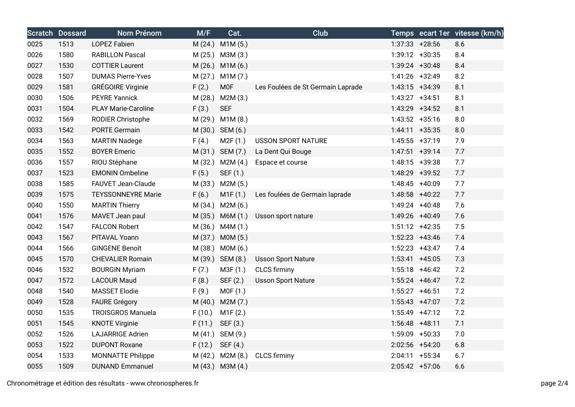|      | <b>Scratch Dossard</b> | Nom Prénom                 | M/F     | Cat.             | <b>Club</b>                       |                   | Temps ecart 1er vitesse (km/h) |
|------|------------------------|----------------------------|---------|------------------|-----------------------------------|-------------------|--------------------------------|
| 0025 | 1513                   | <b>LOPEZ Fabien</b>        |         | M (24.) M1M (5.) |                                   | $1:37:33 + 28:56$ | 8.6                            |
| 0026 | 1580                   | <b>RABILLON Pascal</b>     |         | M (25.) M3M (3.) |                                   | 1:39:12 +30:35    | 8.4                            |
| 0027 | 1530                   | <b>COTTIER Laurent</b>     |         | M (26.) M1M (6.) |                                   | $1:39:24$ +30:48  | 8.4                            |
| 0028 | 1507                   | <b>DUMAS Pierre-Yves</b>   |         | M (27.) M1M (7.) |                                   | 1:41:26 +32:49    | 8.2                            |
| 0029 | 1581                   | <b>GRÉGOIRE Virginie</b>   | F(2.)   | <b>MOF</b>       | Les Foulées de St Germain Laprade | $1:43:15$ +34:39  | 8.1                            |
| 0030 | 1506                   | <b>PEYRE Yannick</b>       | M(28.)  | M2M (3.)         |                                   | $1:43:27$ +34:51  | 8.1                            |
| 0031 | 1504                   | <b>PLAY Marie-Caroline</b> | F(3.)   | <b>SEF</b>       |                                   | 1:43:29 +34:52    | 8.1                            |
| 0032 | 1569                   | RODIER Christophe          |         | M (29.) M1M (8.) |                                   | $1:43:52 +35:16$  | 8.0                            |
| 0033 | 1542                   | <b>PORTE Germain</b>       |         | M (30.) SEM (6.) |                                   | $1:44:11$ +35:35  | 8.0                            |
| 0034 | 1563                   | <b>MARTIN Nadege</b>       | F(4.)   | M2F (1.)         | <b>USSON SPORT NATURE</b>         | $1:45:55$ +37:19  | 7.9                            |
| 0035 | 1552                   | <b>BOYER Emeric</b>        |         | M (31.) SEM (7.) | La Dent Qui Bouge                 | $1:47:51$ +39:14  | 7.7                            |
| 0036 | 1557                   | RIOU Stéphane              |         | M (32.) M2M (4.) | Espace et course                  | $1:48:15$ +39:38  | 7.7                            |
| 0037 | 1523                   | <b>EMONIN Ombeline</b>     | F(5.)   | SEF (1.)         |                                   | 1:48:29 +39:52    | 7.7                            |
| 0038 | 1585                   | FAUVET Jean-Claude         |         | M (33.) M2M (5.) |                                   | 1:48:45 +40:09    | 7.7                            |
| 0039 | 1575                   | <b>TEYSSONNEYRE Marie</b>  | F(6.)   | M1F(1.)          | Les foulées de Germain laprade    | 1:48:58 +40:22    | 7.7                            |
| 0040 | 1550                   | <b>MARTIN Thierry</b>      |         | M (34.) M2M (6.) |                                   | $1:49:24$ +40:48  | 7.6                            |
| 0041 | 1576                   | MAVET Jean paul            |         | M (35.) M6M (1.) | Usson sport nature                | 1:49:26 +40:49    | 7.6                            |
| 0042 | 1547                   | <b>FALCON Robert</b>       |         | M (36.) M4M (1.) |                                   | $1:51:12$ +42:35  | 7.5                            |
| 0043 | 1567                   | PITAVAL Yoann              |         | M (37.) M0M (5.) |                                   | $1:52:23$ +43:46  | 7.4                            |
| 0044 | 1566                   | <b>GINGENE Benoît</b>      | M (38.) | MOM(6.)          |                                   | $1:52:23$ +43:47  | 7.4                            |
| 0045 | 1570                   | <b>CHEVALIER Romain</b>    |         | M (39.) SEM (8.) | <b>Usson Sport Nature</b>         | $1:53:41$ +45:05  | 7.3                            |
| 0046 | 1532                   | <b>BOURGIN Myriam</b>      | F(7.)   | M3F (1.)         | <b>CLCS</b> firminy               | $1:55:18$ +46:42  | 7.2                            |
| 0047 | 1572                   | <b>LACOUR Maud</b>         | F(8.)   | SEF (2.)         | <b>Usson Sport Nature</b>         | $1:55:24$ +46:47  | 7.2                            |
| 0048 | 1540                   | <b>MASSET Elodie</b>       | F(9.)   | MOF(1.)          |                                   | $1:55:27$ +46:51  | 7.2                            |
| 0049 | 1528                   | <b>FAURE Grégory</b>       | M(40.)  | M2M (7.)         |                                   | $1:55:43$ +47:07  | 7.2                            |
| 0050 | 1535                   | <b>TROISGROS Manuela</b>   | F(10.)  | M1F(2.)          |                                   | $1:55:49$ +47:12  | 7.2                            |
| 0051 | 1545                   | <b>KNOTE Virginie</b>      | F(11.)  | SEF (3.)         |                                   | $1:56:48$ +48:11  | 7.1                            |
| 0052 | 1526                   | <b>LAJARRIGE Adrien</b>    |         | M (41.) SEM (9.) |                                   | 1:59:09 +50:33    | 7.0                            |
| 0053 | 1522                   | <b>DUPONT Roxane</b>       | F(12.)  | SEF (4.)         |                                   | 2:02:56 +54:20    | 6.8                            |
| 0054 | 1533                   | <b>MONNATTE Philippe</b>   |         | M (42.) M2M (8.) | <b>CLCS</b> firminy               | $2:04:11 + 55:34$ | 6.7                            |
| 0055 | 1509                   | <b>DUNAND Emmanuel</b>     |         | M (43.) M3M (4.) |                                   | $2:05:42$ +57:06  | 6.6                            |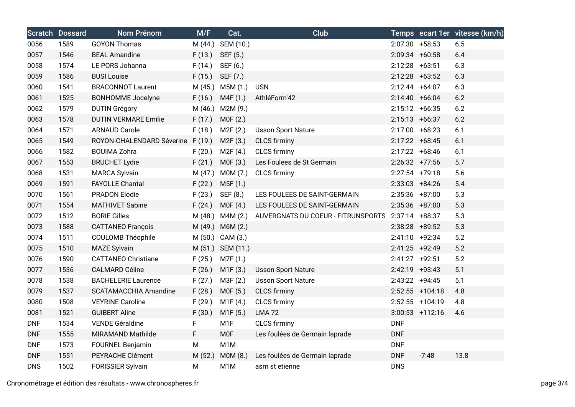|            | <b>Scratch Dossard</b> | Nom Prénom                        | M/F     | Cat.              | <b>Club</b>                        |                   |                   | Temps ecart 1er vitesse (km/h) |
|------------|------------------------|-----------------------------------|---------|-------------------|------------------------------------|-------------------|-------------------|--------------------------------|
| 0056       | 1589                   | <b>GOYON Thomas</b>               |         | M (44.) SEM (10.) |                                    | $2:07:30$ +58:53  |                   | 6.5                            |
| 0057       | 1546                   | <b>BEAL Amandine</b>              | F(13.)  | SEF (5.)          |                                    | 2:09:34 +60:58    |                   | 6.4                            |
| 0058       | 1574                   | LE PORS Johanna                   | F(14.)  | SEF (6.)          |                                    | $2:12:28$ +63:51  |                   | 6.3                            |
| 0059       | 1586                   | <b>BUSI Louise</b>                | F(15.)  | SEF (7.)          |                                    | $2:12:28$ +63:52  |                   | 6.3                            |
| 0060       | 1541                   | <b>BRACONNOT Laurent</b>          | M(45.)  | M5M(1.)           | <b>USN</b>                         | 2:12:44 +64:07    |                   | 6.3                            |
| 0061       | 1525                   | <b>BONHOMME</b> Jocelyne          | F(16.)  | M4F (1.)          | AthléForm'42                       | $2:14:40 + 66:04$ |                   | 6.2                            |
| 0062       | 1579                   | <b>DUTIN Grégory</b>              |         | M (46.) M2M (9.)  |                                    | $2:15:12 +66:35$  |                   | 6.2                            |
| 0063       | 1578                   | <b>DUTIN VERMARE Emilie</b>       | F(17.)  | MOF(2.)           |                                    | $2:15:13 + 66:37$ |                   | 6.2                            |
| 0064       | 1571                   | <b>ARNAUD Carole</b>              | F(18.)  | M2F(2.)           | <b>Usson Sport Nature</b>          | 2:17:00 +68:23    |                   | 6.1                            |
| 0065       | 1549                   | ROYON-CHALENDARD Séverine F (19.) |         | M2F(3.)           | <b>CLCS</b> firminy                | $2:17:22$ +68:45  |                   | 6.1                            |
| 0066       | 1582                   | <b>BOUIMA Zohra</b>               | F(20.)  | M2F(4.)           | <b>CLCS firminy</b>                | $2:17:22 +68:46$  |                   | 6.1                            |
| 0067       | 1553                   | <b>BRUCHET Lydie</b>              | F(21.)  | MOF(3.)           | Les Foulees de St Germain          | $2:26:32$ +77:56  |                   | 5.7                            |
| 0068       | 1531                   | <b>MARCA Sylvain</b>              |         | M (47.) M0M (7.)  | <b>CLCS</b> firminy                | $2:27:54$ +79:18  |                   | 5.6                            |
| 0069       | 1591                   | <b>FAYOLLE Chantal</b>            | F(22.)  | M5F (1.)          |                                    | $2:33:03$ +84:26  |                   | 5.4                            |
| 0070       | 1561                   | <b>PRADON Elodie</b>              | F(23.)  | SEF (8.)          | LES FOULEES DE SAINT-GERMAIN       | $2:35:36$ +87:00  |                   | 5.3                            |
| 0071       | 1554                   | <b>MATHIVET Sabine</b>            | F(24.)  | MOF(4.)           | LES FOULEES DE SAINT-GERMAIN       | 2:35:36 +87:00    |                   | 5.3                            |
| 0072       | 1512                   | <b>BORIE Gilles</b>               |         | M (48.) M4M (2.)  | AUVERGNATS DU COEUR - FITRUNSPORTS | $2:37:14$ +88:37  |                   | 5.3                            |
| 0073       | 1588                   | <b>CATTANEO François</b>          | M (49.) | M6M(2.)           |                                    | $2:38:28$ +89:52  |                   | 5.3                            |
| 0074       | 1511                   | <b>COULOMB Théophile</b>          |         | M (50.) CAM (3.)  |                                    | 2:41:10 +92:34    |                   | 5.2                            |
| 0075       | 1510                   | <b>MAZE Sylvain</b>               |         | M (51.) SEM (11.) |                                    | 2:41:25 +92:49    |                   | 5.2                            |
| 0076       | 1590                   | <b>CATTANEO Christiane</b>        | F(25.)  | M7F (1.)          |                                    | 2:41:27 +92:51    |                   | 5.2                            |
| 0077       | 1536                   | <b>CALMARD Céline</b>             | F(26.)  | M1F(3.)           | <b>Usson Sport Nature</b>          | 2:42:19 +93:43    |                   | 5.1                            |
| 0078       | 1538                   | <b>BACHELERIE Laurence</b>        | F(27.)  | M3F (2.)          | <b>Usson Sport Nature</b>          | $2:43:22$ +94:45  |                   | 5.1                            |
| 0079       | 1537                   | <b>SCATAMACCHIA Amandine</b>      | F(28.)  | MOF(5.)           | <b>CLCS</b> firminy                |                   | $2:52:55$ +104:18 | 4.8                            |
| 0080       | 1508                   | <b>VEYRINE Caroline</b>           | F(29.)  | M1F(4.)           | <b>CLCS</b> firminy                |                   | 2:52:55 +104:19   | 4.8                            |
| 0081       | 1521                   | <b>GUIBERT Aline</b>              | F(30.)  | M1F(5.)           | <b>LMA72</b>                       |                   | $3:00:53$ +112:16 | 4.6                            |
| <b>DNF</b> | 1534                   | <b>VENDE Géraldine</b>            | F       | M <sub>1</sub> F  | <b>CLCS</b> firminy                | <b>DNF</b>        |                   |                                |
| <b>DNF</b> | 1555                   | <b>MIRAMAND Mathilde</b>          | F       | <b>MOF</b>        | Les foulées de Germain laprade     | <b>DNF</b>        |                   |                                |
| <b>DNF</b> | 1573                   | <b>FOURNEL Benjamin</b>           | M       | M <sub>1</sub> M  |                                    | <b>DNF</b>        |                   |                                |
| <b>DNF</b> | 1551                   | PEYRACHE Clément                  | M(52.)  | MOM(8.)           | Les foulées de Germain laprade     | <b>DNF</b>        | $-7:48$           | 13.8                           |
| <b>DNS</b> | 1502                   | <b>FORISSIER Sylvain</b>          | M       | M <sub>1</sub> M  | asm st etienne                     | <b>DNS</b>        |                   |                                |